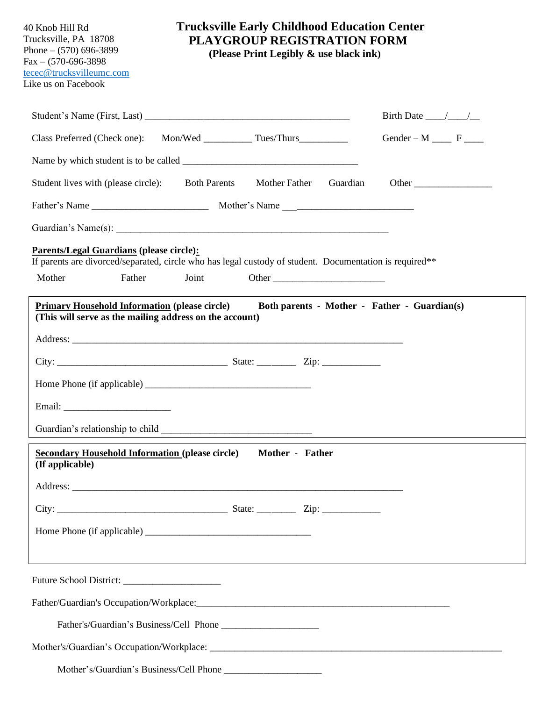| 40 Knob Hill Rd<br>Trucksville, PA 18708<br>Phone $-$ (570) 696-3899<br>$Fax - (570-696-3898)$<br>tecec@trucksvilleumc.com<br>Like us on Facebook |                     | <b>Trucksville Early Childhood Education Center</b><br><b>PLAYGROUP REGISTRATION FORM</b><br>(Please Print Legibly & use black ink) |          |                                            |  |
|---------------------------------------------------------------------------------------------------------------------------------------------------|---------------------|-------------------------------------------------------------------------------------------------------------------------------------|----------|--------------------------------------------|--|
|                                                                                                                                                   |                     |                                                                                                                                     |          | Birth Date $\_\_\_\_\_\_\_\_\_\_\_\_\_\_\$ |  |
|                                                                                                                                                   |                     |                                                                                                                                     |          | Gender – $M \_\_\_\$ F                     |  |
|                                                                                                                                                   |                     |                                                                                                                                     |          |                                            |  |
| Student lives with (please circle):                                                                                                               | <b>Both Parents</b> | Mother Father                                                                                                                       | Guardian | Other                                      |  |
|                                                                                                                                                   |                     |                                                                                                                                     |          |                                            |  |
|                                                                                                                                                   |                     |                                                                                                                                     |          |                                            |  |
| <b>Parents/Legal Guardians (please circle):</b>                                                                                                   |                     |                                                                                                                                     |          |                                            |  |
| If parents are divorced/separated, circle who has legal custody of student. Documentation is required**<br>Mother<br>Father                       | Joint               |                                                                                                                                     |          |                                            |  |
|                                                                                                                                                   |                     |                                                                                                                                     |          |                                            |  |
| <b>Secondary Household Information (please circle)</b><br>(If applicable)                                                                         |                     | Mother - Father                                                                                                                     |          |                                            |  |
|                                                                                                                                                   |                     |                                                                                                                                     |          |                                            |  |
|                                                                                                                                                   |                     |                                                                                                                                     |          |                                            |  |
|                                                                                                                                                   |                     |                                                                                                                                     |          |                                            |  |
|                                                                                                                                                   |                     |                                                                                                                                     |          |                                            |  |
|                                                                                                                                                   |                     |                                                                                                                                     |          |                                            |  |
|                                                                                                                                                   |                     |                                                                                                                                     |          |                                            |  |
|                                                                                                                                                   |                     |                                                                                                                                     |          |                                            |  |
|                                                                                                                                                   |                     |                                                                                                                                     |          |                                            |  |